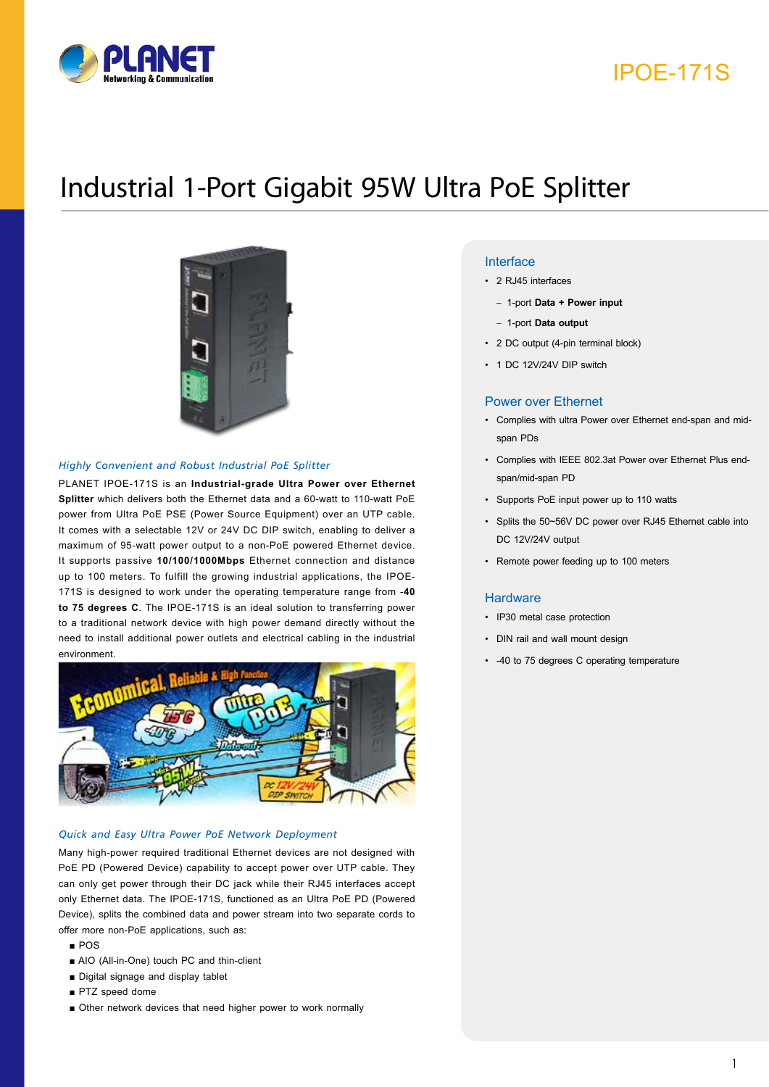

# IPOE-171S

# Industrial 1-Port Gigabit 95W Ultra PoE Splitter



#### *Highly Convenient and Robust Industrial PoE Splitter*

PLANET IPOE-171S is an **Industrial-grade Ultra Power over Ethernet Splitter** which delivers both the Ethernet data and a 60-watt to 110-watt PoE power from Ultra PoE PSE (Power Source Equipment) over an UTP cable. It comes with a selectable 12V or 24V DC DIP switch, enabling to deliver a maximum of 95-watt power output to a non-PoE powered Ethernet device. It supports passive **10/100/1000Mbps** Ethernet connection and distance up to 100 meters. To fulfill the growing industrial applications, the IPOE-171S is designed to work under the operating temperature range from -**40 to 75 degrees C**. The IPOE-171S is an ideal solution to transferring power to a traditional network device with high power demand directly without the need to install additional power outlets and electrical cabling in the industrial environment.



#### *Quick and Easy Ultra Power PoE Network Deployment*

Many high-power required traditional Ethernet devices are not designed with PoE PD (Powered Device) capability to accept power over UTP cable. They can only get power through their DC jack while their RJ45 interfaces accept only Ethernet data. The IPOE-171S, functioned as an Ultra PoE PD (Powered Device), splits the combined data and power stream into two separate cords to offer more non-PoE applications, such as:

- POS
- AIO (All-in-One) touch PC and thin-client
- Digital signage and display tablet
- PTZ speed dome
- Other network devices that need higher power to work normally

#### **Key Features**

- 2 RJ45 interfaces
	- 1-port **Data + Power input**
	- 1-port **Data output**
- 2 DC output (4-pin terminal block)
- 1 DC 12V/24V DIP switch

#### Power over Ethernet

- Complies with ultra Power over Ethernet end-span and midspan PDs
- Complies with IEEE 802.3at Power over Ethernet Plus endspan/mid-span PD
- Supports PoE input power up to 110 watts
- Splits the 50~56V DC power over RJ45 Ethernet cable into DC 12V/24V output
- Remote power feeding up to 100 meters

#### **Hardware**

- IP30 metal case protection
- DIN rail and wall mount design
- -40 to 75 degrees C operating temperature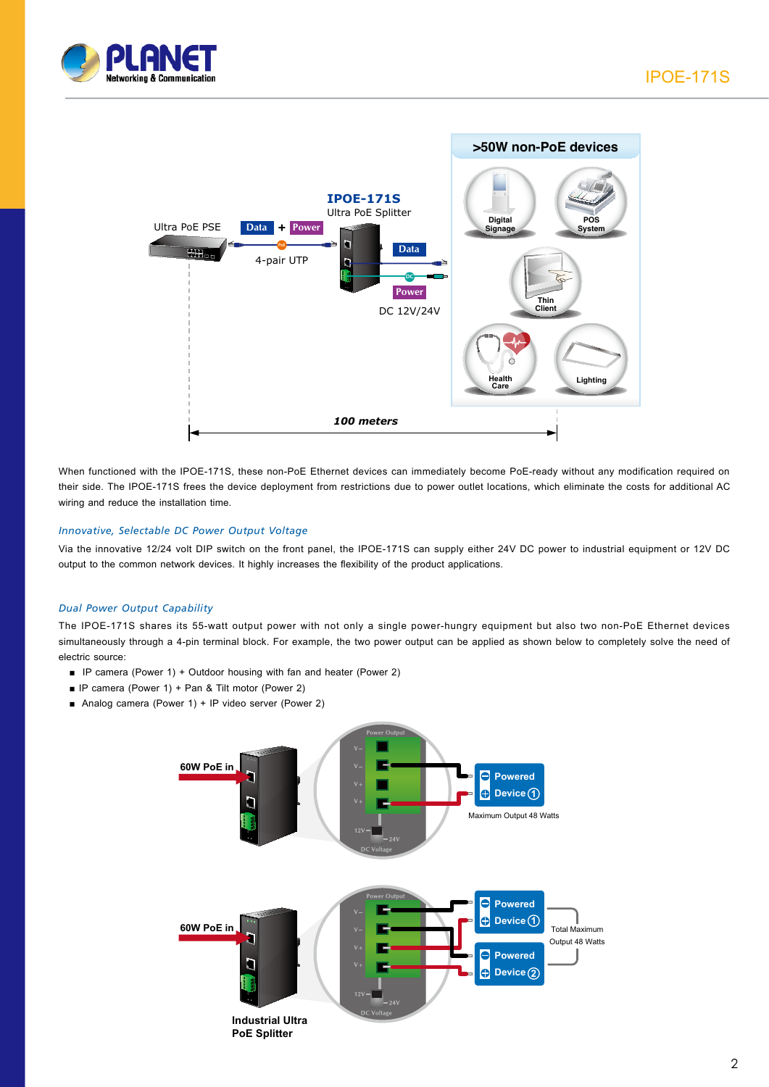



When functioned with the IPOE-171S, these non-PoE Ethernet devices can immediately become PoE-ready without any modification required on their side. The IPOE-171S frees the device deployment from restrictions due to power outlet locations, which eliminate the costs for additional AC wiring and reduce the installation time.

#### *Innovative, Selectable DC Power Output Voltage*

Via the innovative 12/24 volt DIP switch on the front panel, the IPOE-171S can supply either 24V DC power to industrial equipment or 12V DC output to the common network devices. It highly increases the flexibility of the product applications.

#### *Dual Power Output Capability*

The IPOE-171S shares its 55-watt output power with not only a single power-hungry equipment but also two non-PoE Ethernet devices simultaneously through a 4-pin terminal block. For example, the two power output can be applied as shown below to completely solve the need of electric source:

- IP camera (Power 1) + Outdoor housing with fan and heater (Power 2)
- IP camera (Power 1) + Pan & Tilt motor (Power 2)
- Analog camera (Power 1) + IP video server (Power 2)

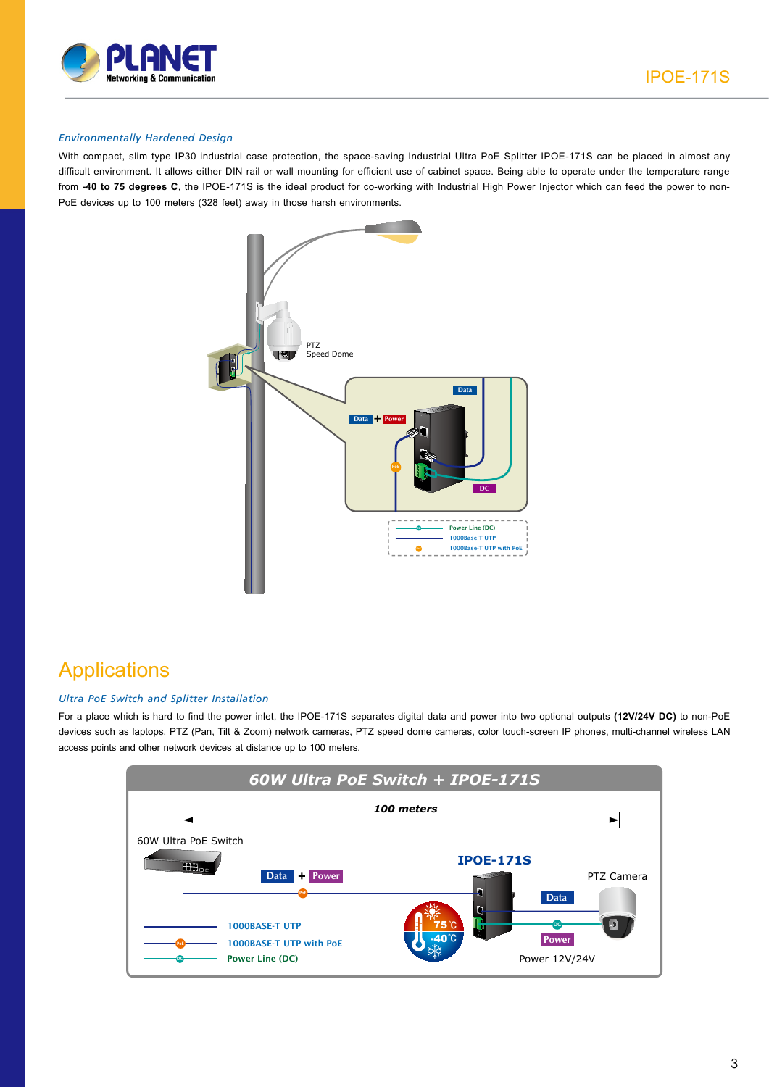



#### *Environmentally Hardened Design*

With compact, slim type IP30 industrial case protection, the space-saving Industrial Ultra PoE Splitter IPOE-171S can be placed in almost any difficult environment. It allows either DIN rail or wall mounting for efficient use of cabinet space. Being able to operate under the temperature range from **-40 to 75 degrees C**, the IPOE-171S is the ideal product for co-working with Industrial High Power Injector which can feed the power to non-PoE devices up to 100 meters (328 feet) away in those harsh environments.



## **Applications**

#### *Ultra PoE Switch and Splitter Installation*

For a place which is hard to find the power inlet, the IPOE-171S separates digital data and power into two optional outputs **(12V/24V DC)** to non-PoE devices such as laptops, PTZ (Pan, Tilt & Zoom) network cameras, PTZ speed dome cameras, color touch-screen IP phones, multi-channel wireless LAN access points and other network devices at distance up to 100 meters.

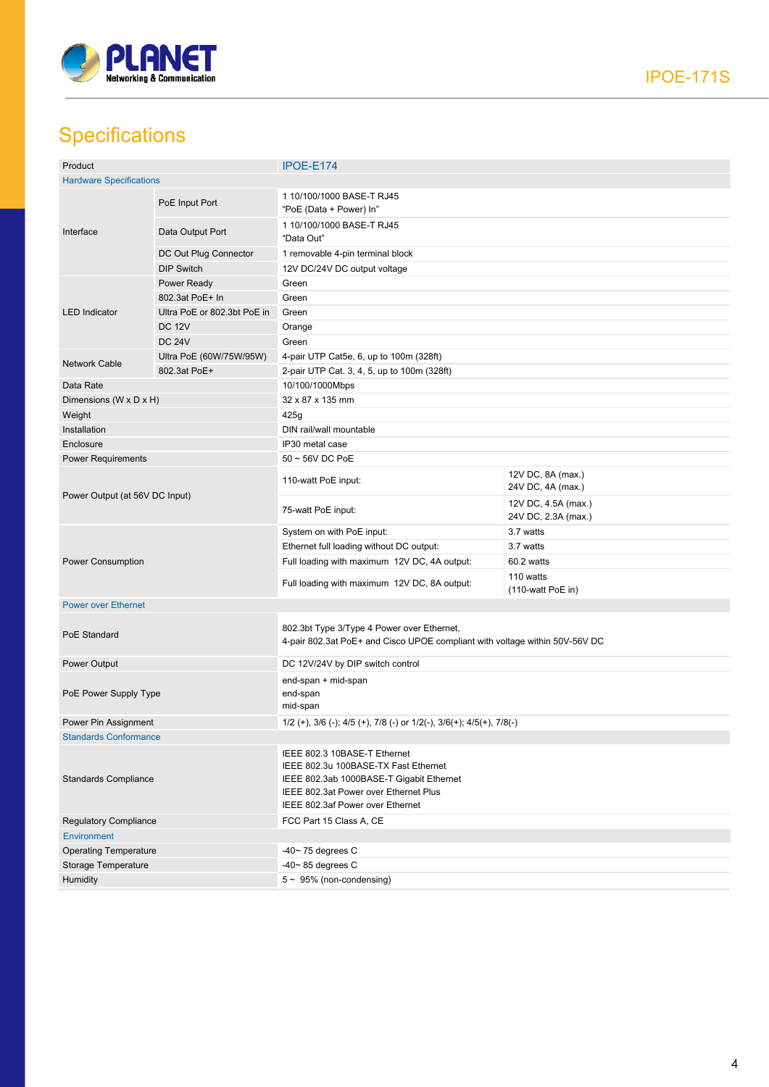

# **Specifications**

| Product                        |                             | IPOE-E174                                                                                                                                                                                     |                                            |  |
|--------------------------------|-----------------------------|-----------------------------------------------------------------------------------------------------------------------------------------------------------------------------------------------|--------------------------------------------|--|
| <b>Hardware Specifications</b> |                             |                                                                                                                                                                                               |                                            |  |
| Interface                      | PoE Input Port              | 1 10/100/1000 BASE-T RJ45<br>"PoE (Data + Power) In"                                                                                                                                          |                                            |  |
|                                | Data Output Port            | 1 10/100/1000 BASE-T RJ45<br>"Data Out"                                                                                                                                                       |                                            |  |
|                                | DC Out Plug Connector       | 1 removable 4-pin terminal block                                                                                                                                                              |                                            |  |
|                                | <b>DIP Switch</b>           | 12V DC/24V DC output voltage                                                                                                                                                                  |                                            |  |
| <b>LED</b> Indicator           | Power Ready                 | Green                                                                                                                                                                                         |                                            |  |
|                                | 802.3at PoE+ In             | Green                                                                                                                                                                                         |                                            |  |
|                                | Ultra PoE or 802.3bt PoE in | Green                                                                                                                                                                                         |                                            |  |
|                                | <b>DC 12V</b>               | Orange                                                                                                                                                                                        |                                            |  |
|                                | <b>DC 24V</b>               | Green                                                                                                                                                                                         |                                            |  |
| <b>Network Cable</b>           | Ultra PoE (60W/75W/95W)     | 4-pair UTP Cat5e, 6, up to 100m (328ft)                                                                                                                                                       |                                            |  |
|                                | 802.3at PoE+                | 2-pair UTP Cat. 3, 4, 5, up to 100m (328ft)                                                                                                                                                   |                                            |  |
| Data Rate                      |                             | 10/100/1000Mbps                                                                                                                                                                               |                                            |  |
| Dimensions (W x D x H)         |                             | 32 x 87 x 135 mm                                                                                                                                                                              |                                            |  |
| Weight                         |                             | 425g                                                                                                                                                                                          |                                            |  |
| Installation                   |                             | DIN rail/wall mountable                                                                                                                                                                       |                                            |  |
| Enclosure                      |                             | IP30 metal case                                                                                                                                                                               |                                            |  |
| <b>Power Requirements</b>      |                             | $50 \sim 56$ V DC PoE                                                                                                                                                                         |                                            |  |
| Power Output (at 56V DC Input) |                             | 110-watt PoE input:                                                                                                                                                                           | 12V DC, 8A (max.)<br>24V DC, 4A (max.)     |  |
|                                |                             | 75-watt PoE input:                                                                                                                                                                            | 12V DC, 4.5A (max.)<br>24V DC, 2.3A (max.) |  |
| Power Consumption              |                             | System on with PoE input:                                                                                                                                                                     | 3.7 watts                                  |  |
|                                |                             | Ethernet full loading without DC output:                                                                                                                                                      | 3.7 watts                                  |  |
|                                |                             | Full loading with maximum 12V DC, 4A output:                                                                                                                                                  | 60.2 watts                                 |  |
|                                |                             | Full loading with maximum 12V DC, 8A output:                                                                                                                                                  | 110 watts<br>(110-watt PoE in)             |  |
| <b>Power over Ethernet</b>     |                             |                                                                                                                                                                                               |                                            |  |
| PoE Standard                   |                             | 802.3bt Type 3/Type 4 Power over Ethernet,<br>4-pair 802.3at PoE+ and Cisco UPOE compliant with voltage within 50V-56V DC                                                                     |                                            |  |
| Power Output                   |                             | DC 12V/24V by DIP switch control                                                                                                                                                              |                                            |  |
| PoE Power Supply Type          |                             | end-span + mid-span<br>end-span<br>mid-span                                                                                                                                                   |                                            |  |
| Power Pin Assignment           |                             | $1/2$ (+), $3/6$ (-); $4/5$ (+), $7/8$ (-) or $1/2$ (-), $3/6$ (+); $4/5$ (+), $7/8$ (-)                                                                                                      |                                            |  |
| <b>Standards Conformance</b>   |                             |                                                                                                                                                                                               |                                            |  |
| <b>Standards Compliance</b>    |                             | IEEE 802.3 10BASE-T Ethernet<br>IEEE 802.3u 100BASE-TX Fast Ethernet<br>IEEE 802.3ab 1000BASE-T Gigabit Ethernet<br>IEEE 802.3at Power over Ethernet Plus<br>IEEE 802.3af Power over Ethernet |                                            |  |
| <b>Regulatory Compliance</b>   |                             | FCC Part 15 Class A, CE                                                                                                                                                                       |                                            |  |
| <b>Environment</b>             |                             |                                                                                                                                                                                               |                                            |  |
| <b>Operating Temperature</b>   |                             | -40 $\sim$ 75 degrees C                                                                                                                                                                       |                                            |  |
| Storage Temperature            |                             | $-40 - 85$ degrees C                                                                                                                                                                          |                                            |  |
| Humidity                       |                             | $5 \sim 95\%$ (non-condensing)                                                                                                                                                                |                                            |  |
|                                |                             |                                                                                                                                                                                               |                                            |  |